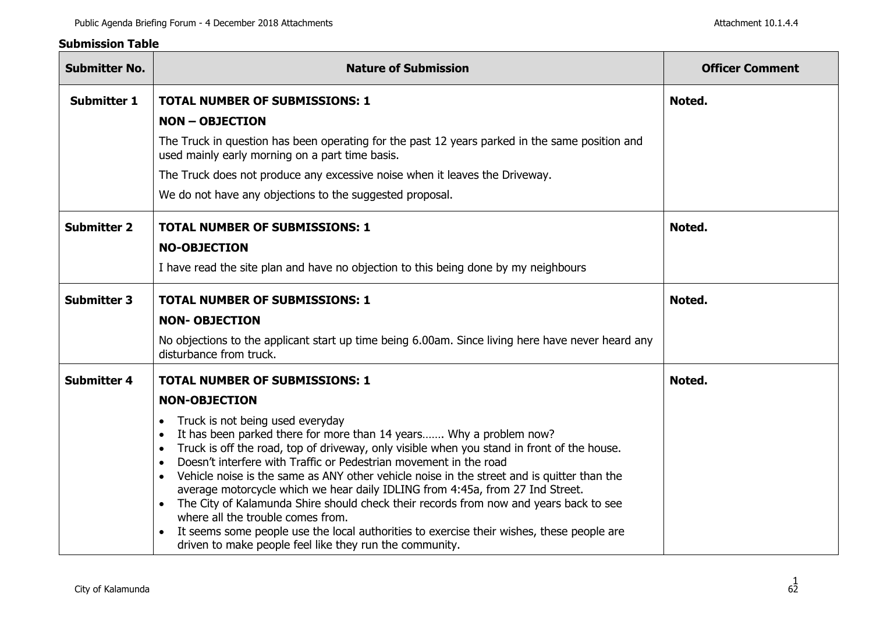## **Submission Table**

| <b>Submitter No.</b> | <b>Nature of Submission</b>                                                                                                                                                                                                                                                                                                                                                                                                                                                                                                                                                                                                                                                                                                                                 | <b>Officer Comment</b> |
|----------------------|-------------------------------------------------------------------------------------------------------------------------------------------------------------------------------------------------------------------------------------------------------------------------------------------------------------------------------------------------------------------------------------------------------------------------------------------------------------------------------------------------------------------------------------------------------------------------------------------------------------------------------------------------------------------------------------------------------------------------------------------------------------|------------------------|
| <b>Submitter 1</b>   | <b>TOTAL NUMBER OF SUBMISSIONS: 1</b>                                                                                                                                                                                                                                                                                                                                                                                                                                                                                                                                                                                                                                                                                                                       | Noted.                 |
|                      | <b>NON - OBJECTION</b>                                                                                                                                                                                                                                                                                                                                                                                                                                                                                                                                                                                                                                                                                                                                      |                        |
|                      | The Truck in question has been operating for the past 12 years parked in the same position and<br>used mainly early morning on a part time basis.                                                                                                                                                                                                                                                                                                                                                                                                                                                                                                                                                                                                           |                        |
|                      | The Truck does not produce any excessive noise when it leaves the Driveway.                                                                                                                                                                                                                                                                                                                                                                                                                                                                                                                                                                                                                                                                                 |                        |
|                      | We do not have any objections to the suggested proposal.                                                                                                                                                                                                                                                                                                                                                                                                                                                                                                                                                                                                                                                                                                    |                        |
| <b>Submitter 2</b>   | <b>TOTAL NUMBER OF SUBMISSIONS: 1</b>                                                                                                                                                                                                                                                                                                                                                                                                                                                                                                                                                                                                                                                                                                                       | Noted.                 |
|                      | <b>NO-OBJECTION</b>                                                                                                                                                                                                                                                                                                                                                                                                                                                                                                                                                                                                                                                                                                                                         |                        |
|                      | I have read the site plan and have no objection to this being done by my neighbours                                                                                                                                                                                                                                                                                                                                                                                                                                                                                                                                                                                                                                                                         |                        |
| <b>Submitter 3</b>   | <b>TOTAL NUMBER OF SUBMISSIONS: 1</b>                                                                                                                                                                                                                                                                                                                                                                                                                                                                                                                                                                                                                                                                                                                       | Noted.                 |
|                      | <b>NON- OBJECTION</b>                                                                                                                                                                                                                                                                                                                                                                                                                                                                                                                                                                                                                                                                                                                                       |                        |
|                      | No objections to the applicant start up time being 6.00am. Since living here have never heard any<br>disturbance from truck.                                                                                                                                                                                                                                                                                                                                                                                                                                                                                                                                                                                                                                |                        |
| <b>Submitter 4</b>   | <b>TOTAL NUMBER OF SUBMISSIONS: 1</b>                                                                                                                                                                                                                                                                                                                                                                                                                                                                                                                                                                                                                                                                                                                       | Noted.                 |
|                      | <b>NON-OBJECTION</b>                                                                                                                                                                                                                                                                                                                                                                                                                                                                                                                                                                                                                                                                                                                                        |                        |
|                      | Truck is not being used everyday<br>$\bullet$<br>It has been parked there for more than 14 years Why a problem now?<br>Truck is off the road, top of driveway, only visible when you stand in front of the house.<br>Doesn't interfere with Traffic or Pedestrian movement in the road<br>Vehicle noise is the same as ANY other vehicle noise in the street and is quitter than the<br>average motorcycle which we hear daily IDLING from 4:45a, from 27 Ind Street.<br>The City of Kalamunda Shire should check their records from now and years back to see<br>where all the trouble comes from.<br>It seems some people use the local authorities to exercise their wishes, these people are<br>driven to make people feel like they run the community. |                        |